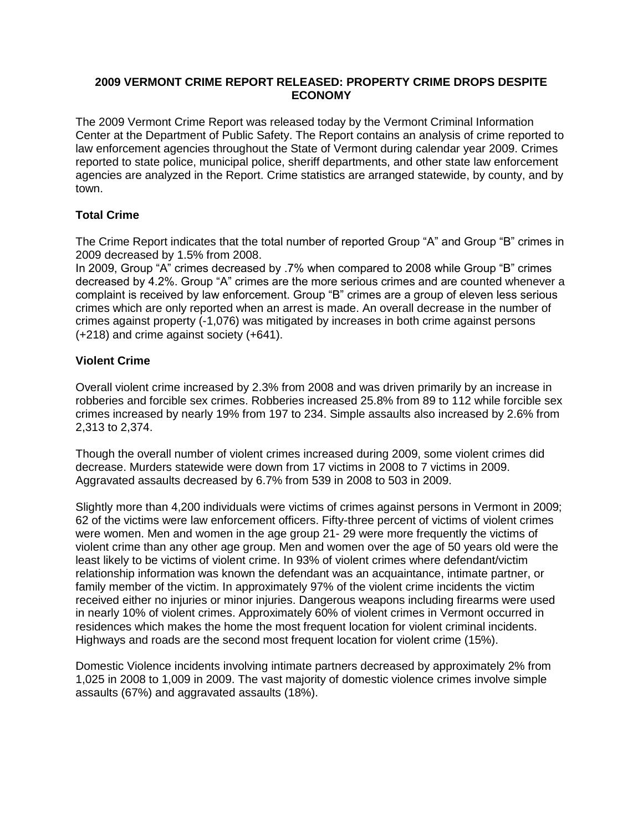## **2009 VERMONT CRIME REPORT RELEASED: PROPERTY CRIME DROPS DESPITE ECONOMY**

The 2009 Vermont Crime Report was released today by the Vermont Criminal Information Center at the Department of Public Safety. The Report contains an analysis of crime reported to law enforcement agencies throughout the State of Vermont during calendar year 2009. Crimes reported to state police, municipal police, sheriff departments, and other state law enforcement agencies are analyzed in the Report. Crime statistics are arranged statewide, by county, and by town.

# **Total Crime**

The Crime Report indicates that the total number of reported Group "A" and Group "B" crimes in 2009 decreased by 1.5% from 2008.

In 2009, Group "A" crimes decreased by .7% when compared to 2008 while Group "B" crimes decreased by 4.2%. Group "A" crimes are the more serious crimes and are counted whenever a complaint is received by law enforcement. Group "B" crimes are a group of eleven less serious crimes which are only reported when an arrest is made. An overall decrease in the number of crimes against property (-1,076) was mitigated by increases in both crime against persons (+218) and crime against society (+641).

# **Violent Crime**

Overall violent crime increased by 2.3% from 2008 and was driven primarily by an increase in robberies and forcible sex crimes. Robberies increased 25.8% from 89 to 112 while forcible sex crimes increased by nearly 19% from 197 to 234. Simple assaults also increased by 2.6% from 2,313 to 2,374.

Though the overall number of violent crimes increased during 2009, some violent crimes did decrease. Murders statewide were down from 17 victims in 2008 to 7 victims in 2009. Aggravated assaults decreased by 6.7% from 539 in 2008 to 503 in 2009.

Slightly more than 4,200 individuals were victims of crimes against persons in Vermont in 2009; 62 of the victims were law enforcement officers. Fifty-three percent of victims of violent crimes were women. Men and women in the age group 21- 29 were more frequently the victims of violent crime than any other age group. Men and women over the age of 50 years old were the least likely to be victims of violent crime. In 93% of violent crimes where defendant/victim relationship information was known the defendant was an acquaintance, intimate partner, or family member of the victim. In approximately 97% of the violent crime incidents the victim received either no injuries or minor injuries. Dangerous weapons including firearms were used in nearly 10% of violent crimes. Approximately 60% of violent crimes in Vermont occurred in residences which makes the home the most frequent location for violent criminal incidents. Highways and roads are the second most frequent location for violent crime (15%).

Domestic Violence incidents involving intimate partners decreased by approximately 2% from 1,025 in 2008 to 1,009 in 2009. The vast majority of domestic violence crimes involve simple assaults (67%) and aggravated assaults (18%).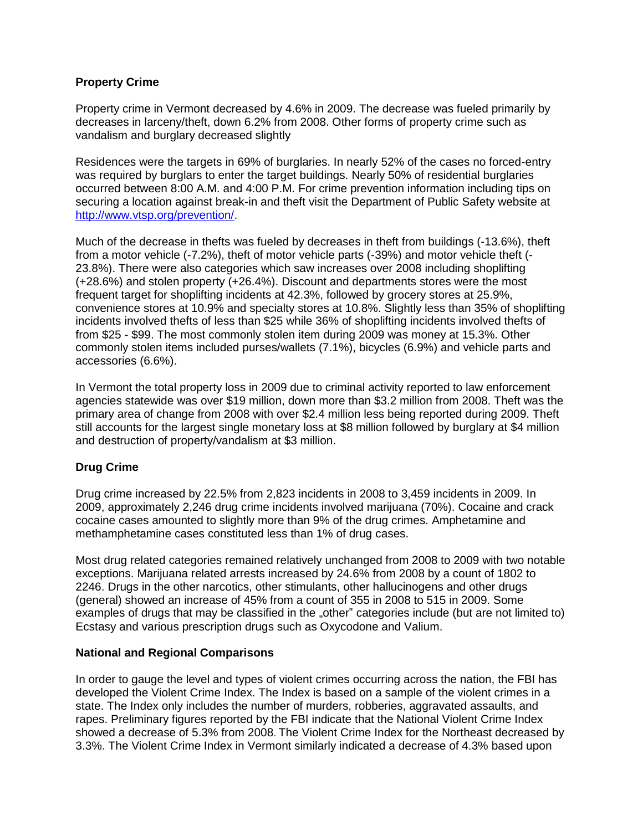## **Property Crime**

Property crime in Vermont decreased by 4.6% in 2009. The decrease was fueled primarily by decreases in larceny/theft, down 6.2% from 2008. Other forms of property crime such as vandalism and burglary decreased slightly

Residences were the targets in 69% of burglaries. In nearly 52% of the cases no forced-entry was required by burglars to enter the target buildings. Nearly 50% of residential burglaries occurred between 8:00 A.M. and 4:00 P.M. For crime prevention information including tips on securing a location against break-in and theft visit the Department of Public Safety website at http://www.vtsp.org/prevention/.

Much of the decrease in thefts was fueled by decreases in theft from buildings (-13.6%), theft from a motor vehicle (-7.2%), theft of motor vehicle parts (-39%) and motor vehicle theft (- 23.8%). There were also categories which saw increases over 2008 including shoplifting (+28.6%) and stolen property (+26.4%). Discount and departments stores were the most frequent target for shoplifting incidents at 42.3%, followed by grocery stores at 25.9%, convenience stores at 10.9% and specialty stores at 10.8%. Slightly less than 35% of shoplifting incidents involved thefts of less than \$25 while 36% of shoplifting incidents involved thefts of from \$25 - \$99. The most commonly stolen item during 2009 was money at 15.3%. Other commonly stolen items included purses/wallets (7.1%), bicycles (6.9%) and vehicle parts and accessories (6.6%).

In Vermont the total property loss in 2009 due to criminal activity reported to law enforcement agencies statewide was over \$19 million, down more than \$3.2 million from 2008. Theft was the primary area of change from 2008 with over \$2.4 million less being reported during 2009. Theft still accounts for the largest single monetary loss at \$8 million followed by burglary at \$4 million and destruction of property/vandalism at \$3 million.

# **Drug Crime**

Drug crime increased by 22.5% from 2,823 incidents in 2008 to 3,459 incidents in 2009. In 2009, approximately 2,246 drug crime incidents involved marijuana (70%). Cocaine and crack cocaine cases amounted to slightly more than 9% of the drug crimes. Amphetamine and methamphetamine cases constituted less than 1% of drug cases.

Most drug related categories remained relatively unchanged from 2008 to 2009 with two notable exceptions. Marijuana related arrests increased by 24.6% from 2008 by a count of 1802 to 2246. Drugs in the other narcotics, other stimulants, other hallucinogens and other drugs (general) showed an increase of 45% from a count of 355 in 2008 to 515 in 2009. Some examples of drugs that may be classified in the "other" categories include (but are not limited to) Ecstasy and various prescription drugs such as Oxycodone and Valium.

## **National and Regional Comparisons**

In order to gauge the level and types of violent crimes occurring across the nation, the FBI has developed the Violent Crime Index. The Index is based on a sample of the violent crimes in a state. The Index only includes the number of murders, robberies, aggravated assaults, and rapes. Preliminary figures reported by the FBI indicate that the National Violent Crime Index showed a decrease of 5.3% from 2008. The Violent Crime Index for the Northeast decreased by 3.3%. The Violent Crime Index in Vermont similarly indicated a decrease of 4.3% based upon